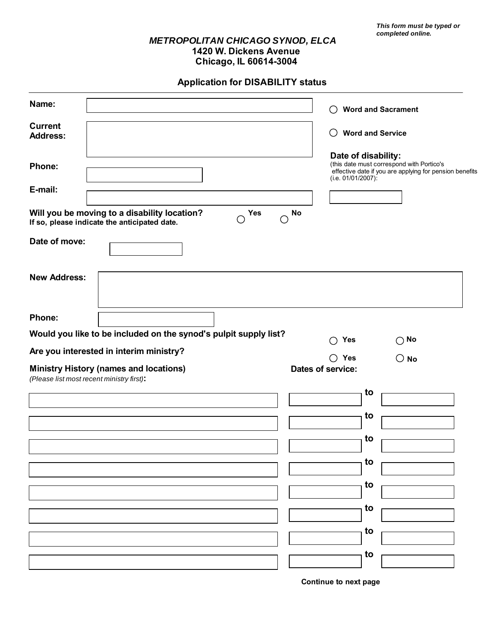## *METROPOLITAN CHICAGO SYNOD, ELCA* **1420 W. Dickens Avenue Chicago, IL 60614-3004**

**Application for DISABILITY status**

| Name:                             |                                                                                                                 | ( )                                 | <b>Word and Sacrament</b>                                                                                                   |
|-----------------------------------|-----------------------------------------------------------------------------------------------------------------|-------------------------------------|-----------------------------------------------------------------------------------------------------------------------------|
| <b>Current</b><br><b>Address:</b> |                                                                                                                 | ( )                                 | <b>Word and Service</b>                                                                                                     |
| Phone:<br>E-mail:                 |                                                                                                                 | $(i.e. 01/01/2007)$ :               | Date of disability:<br>(this date must correspond with Portico's<br>effective date if you are applying for pension benefits |
|                                   | Will you be moving to a disability location?<br><b>Yes</b><br>О<br>If so, please indicate the anticipated date. | No<br>◯                             |                                                                                                                             |
| Date of move:                     |                                                                                                                 |                                     |                                                                                                                             |
| <b>New Address:</b>               |                                                                                                                 |                                     |                                                                                                                             |
| Phone:                            | Would you like to be included on the synod's pulpit supply list?                                                |                                     |                                                                                                                             |
|                                   | Are you interested in interim ministry?                                                                         | Yes<br>ົ                            | $\bigcirc$ No                                                                                                               |
|                                   | <b>Ministry History (names and locations)</b><br>(Please list most recent ministry first):                      | $\bigcirc$ Yes<br>Dates of service: | $\bigcirc$ No                                                                                                               |
|                                   |                                                                                                                 |                                     | to                                                                                                                          |
|                                   |                                                                                                                 |                                     | to                                                                                                                          |
|                                   |                                                                                                                 |                                     | to                                                                                                                          |
|                                   |                                                                                                                 |                                     | to                                                                                                                          |
|                                   |                                                                                                                 |                                     |                                                                                                                             |
|                                   |                                                                                                                 |                                     | to                                                                                                                          |
|                                   |                                                                                                                 |                                     | to                                                                                                                          |
|                                   |                                                                                                                 |                                     | to                                                                                                                          |
|                                   |                                                                                                                 |                                     | to                                                                                                                          |
|                                   |                                                                                                                 |                                     |                                                                                                                             |

**Continue to next page**